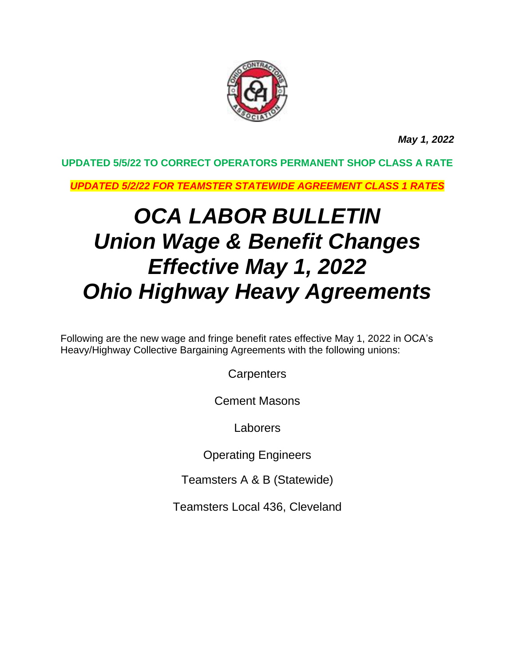

*May 1, 2022*

## **UPDATED 5/5/22 TO CORRECT OPERATORS PERMANENT SHOP CLASS A RATE**

*UPDATED 5/2/22 FOR TEAMSTER STATEWIDE AGREEMENT CLASS 1 RATES*

# *OCA LABOR BULLETIN Union Wage & Benefit Changes Effective May 1, 2022 Ohio Highway Heavy Agreements*

Following are the new wage and fringe benefit rates effective May 1, 2022 in OCA's Heavy/Highway Collective Bargaining Agreements with the following unions:

**Carpenters** 

Cement Masons

Laborers

Operating Engineers

Teamsters A & B (Statewide)

Teamsters Local 436, Cleveland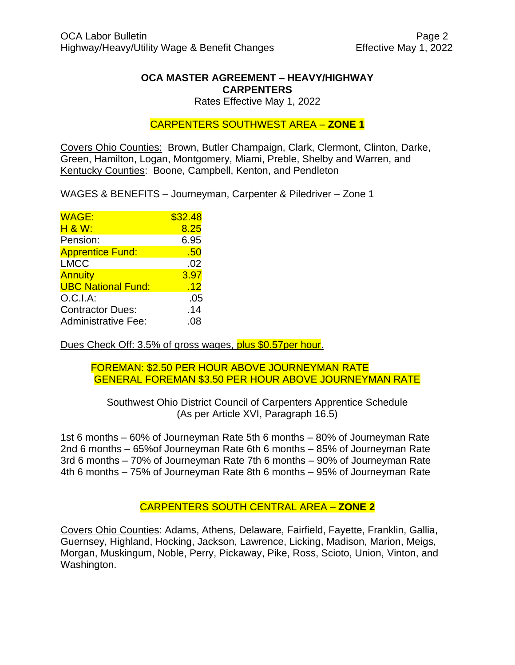#### **OCA MASTER AGREEMENT – HEAVY/HIGHWAY CARPENTERS**

Rates Effective May 1, 2022

#### CARPENTERS SOUTHWEST AREA – **ZONE 1**

Covers Ohio Counties: Brown, Butler Champaign, Clark, Clermont, Clinton, Darke, Green, Hamilton, Logan, Montgomery, Miami, Preble, Shelby and Warren, and Kentucky Counties: Boone, Campbell, Kenton, and Pendleton

WAGES & BENEFITS – Journeyman, Carpenter & Piledriver – Zone 1

| \$32.48 |
|---------|
| 8.25    |
| 6.95    |
| .50     |
| .02     |
| 3.97    |
| .12     |
| .05     |
| .14     |
| .08     |
|         |

Dues Check Off: 3.5% of gross wages, plus \$0.57 per hour.

#### FOREMAN: \$2.50 PER HOUR ABOVE JOURNEYMAN RATE GENERAL FOREMAN \$3.50 PER HOUR ABOVE JOURNEYMAN RATE

Southwest Ohio District Council of Carpenters Apprentice Schedule (As per Article XVI, Paragraph 16.5)

1st 6 months – 60% of Journeyman Rate 5th 6 months – 80% of Journeyman Rate 2nd 6 months – 65%of Journeyman Rate 6th 6 months – 85% of Journeyman Rate 3rd 6 months – 70% of Journeyman Rate 7th 6 months – 90% of Journeyman Rate 4th 6 months – 75% of Journeyman Rate 8th 6 months – 95% of Journeyman Rate

### CARPENTERS SOUTH CENTRAL AREA – **ZONE 2**

Covers Ohio Counties: Adams, Athens, Delaware, Fairfield, Fayette, Franklin, Gallia, Guernsey, Highland, Hocking, Jackson, Lawrence, Licking, Madison, Marion, Meigs, Morgan, Muskingum, Noble, Perry, Pickaway, Pike, Ross, Scioto, Union, Vinton, and Washington.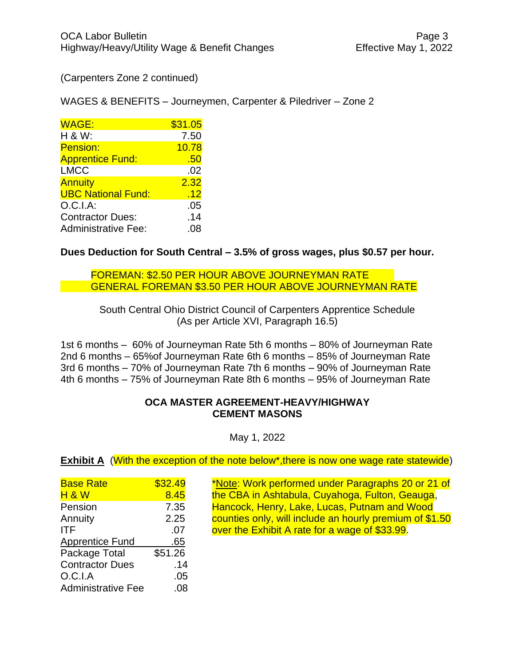(Carpenters Zone 2 continued)

WAGES & BENEFITS – Journeymen, Carpenter & Piledriver – Zone 2

| <b>WAGE:</b>               | \$31.05 |
|----------------------------|---------|
| H & W:                     | 7.50    |
| Pension:                   | 10.78   |
| <b>Apprentice Fund:</b>    | .50     |
| <b>LMCC</b>                | .02     |
| <b>Annuity</b>             | 2.32    |
| <b>UBC National Fund:</b>  | .12     |
| O.C.I.A.                   | .05     |
| <b>Contractor Dues:</b>    | .14     |
| <b>Administrative Fee:</b> | .08     |

**Dues Deduction for South Central – 3.5% of gross wages, plus \$0.57 per hour.** 

FOREMAN: \$2.50 PER HOUR ABOVE JOURNEYMAN RATE GENERAL FOREMAN \$3.50 PER HOUR ABOVE JOURNEYMAN RATE

South Central Ohio District Council of Carpenters Apprentice Schedule (As per Article XVI, Paragraph 16.5)

1st 6 months – 60% of Journeyman Rate 5th 6 months – 80% of Journeyman Rate 2nd 6 months – 65%of Journeyman Rate 6th 6 months – 85% of Journeyman Rate 3rd 6 months – 70% of Journeyman Rate 7th 6 months – 90% of Journeyman Rate 4th 6 months – 75% of Journeyman Rate 8th 6 months – 95% of Journeyman Rate

#### **OCA MASTER AGREEMENT-HEAVY/HIGHWAY CEMENT MASONS**

May 1, 2022

**Exhibit A** (With the exception of the note below\*, there is now one wage rate statewide)

| <b>Base Rate</b>          | \$32.49 |
|---------------------------|---------|
| <b>H &amp; W</b>          | 8.45    |
| Pension                   | 7.35    |
| Annuity                   | 2.25    |
| <b>ITF</b>                | .07     |
| <b>Apprentice Fund</b>    | .65     |
| Package Total             | \$51.26 |
| <b>Contractor Dues</b>    | .14     |
| O.C.I.A                   | .05     |
| <b>Administrative Fee</b> | .08     |

\*Note: Work performed under Paragraphs 20 or 21 of the CBA in Ashtabula, Cuyahoga, Fulton, Geauga, Hancock, Henry, Lake, Lucas, Putnam and Wood counties only, will include an hourly premium of \$1.50 over the Exhibit A rate for a wage of  $$33.99$ .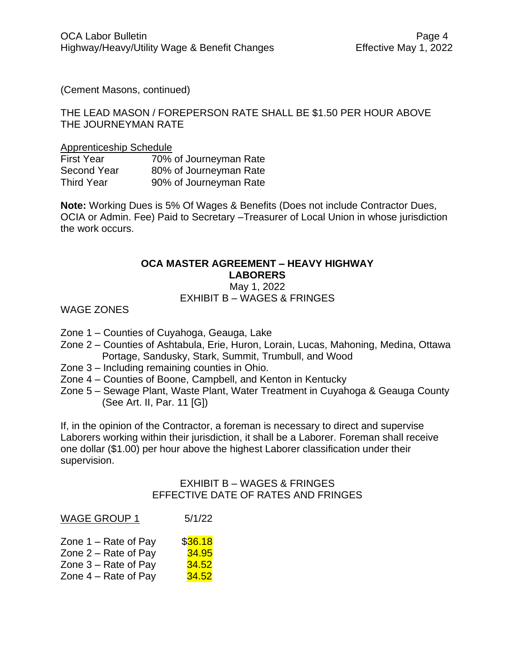(Cement Masons, continued)

#### THE LEAD MASON / FOREPERSON RATE SHALL BE \$1.50 PER HOUR ABOVE THE JOURNEYMAN RATE

#### Apprenticeship Schedule

| <b>First Year</b> | 70% of Journeyman Rate |
|-------------------|------------------------|
| Second Year       | 80% of Journeyman Rate |
| <b>Third Year</b> | 90% of Journeyman Rate |

**Note:** Working Dues is 5% Of Wages & Benefits (Does not include Contractor Dues, OCIA or Admin. Fee) Paid to Secretary –Treasurer of Local Union in whose jurisdiction the work occurs.

#### **OCA MASTER AGREEMENT – HEAVY HIGHWAY LABORERS** May 1, 2022

# EXHIBIT B – WAGES & FRINGES

WAGE ZONES

- Zone 1 Counties of Cuyahoga, Geauga, Lake
- Zone 2 Counties of Ashtabula, Erie, Huron, Lorain, Lucas, Mahoning, Medina, Ottawa Portage, Sandusky, Stark, Summit, Trumbull, and Wood
- Zone 3 Including remaining counties in Ohio.
- Zone 4 Counties of Boone, Campbell, and Kenton in Kentucky
- Zone 5 Sewage Plant, Waste Plant, Water Treatment in Cuyahoga & Geauga County (See Art. II, Par. 11 [G])

If, in the opinion of the Contractor, a foreman is necessary to direct and supervise Laborers working within their jurisdiction, it shall be a Laborer. Foreman shall receive one dollar (\$1.00) per hour above the highest Laborer classification under their supervision.

#### EXHIBIT B – WAGES & FRINGES EFFECTIVE DATE OF RATES AND FRINGES

| <b>WAGE GROUP 1</b>    | 5/1/22       |
|------------------------|--------------|
| Zone $1 -$ Rate of Pay | \$36.18      |
| Zone $2 -$ Rate of Pay | 34.95        |
| Zone $3 -$ Rate of Pay | 34.52        |
| Zone $4 -$ Rate of Pay | <u>34.52</u> |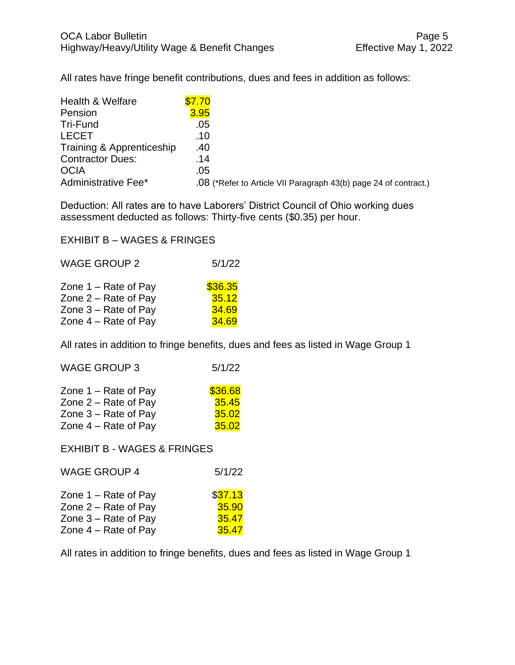All rates have fringe benefit contributions, dues and fees in addition as follows:

| <b>Health &amp; Welfare</b> | \$7.70                                                           |
|-----------------------------|------------------------------------------------------------------|
| Pension                     | 3.95                                                             |
| Tri-Fund                    | .05                                                              |
| <b>LECET</b>                | .10                                                              |
| Training & Apprenticeship   | .40                                                              |
| <b>Contractor Dues:</b>     | .14                                                              |
| <b>OCIA</b>                 | .05                                                              |
| Administrative Fee*         | .08 (*Refer to Article VII Paragraph 43(b) page 24 of contract.) |

Deduction: All rates are to have Laborers' District Council of Ohio working dues assessment deducted as follows: Thirty-five cents (\$0.35) per hour.

EXHIBIT B – WAGES & FRINGES

| <b>WAGE GROUP 2</b>    | 5/1/22  |
|------------------------|---------|
| Zone $1 -$ Rate of Pay | \$36.35 |
| Zone $2 -$ Rate of Pay | 35.12   |
| Zone $3 -$ Rate of Pay | 34.69   |
| Zone $4 -$ Rate of Pay | 34.69   |

All rates in addition to fringe benefits, dues and fees as listed in Wage Group 1

| <b>WAGE GROUP 3</b>    | 5/1/22  |
|------------------------|---------|
| Zone $1 -$ Rate of Pay | \$36.68 |
| Zone $2 -$ Rate of Pay | 35.45   |
| Zone $3 -$ Rate of Pay | 35.02   |
| Zone $4 -$ Rate of Pay | 35.02   |

EXHIBIT B - WAGES & FRINGES

| <b>WAGE GROUP 4</b>    | 5/1/22  |
|------------------------|---------|
| Zone $1 -$ Rate of Pay | \$37.13 |
| Zone $2 -$ Rate of Pay | 35.90   |
| Zone $3 -$ Rate of Pay | 35.47   |
| Zone $4 -$ Rate of Pay | 35.47   |

All rates in addition to fringe benefits, dues and fees as listed in Wage Group 1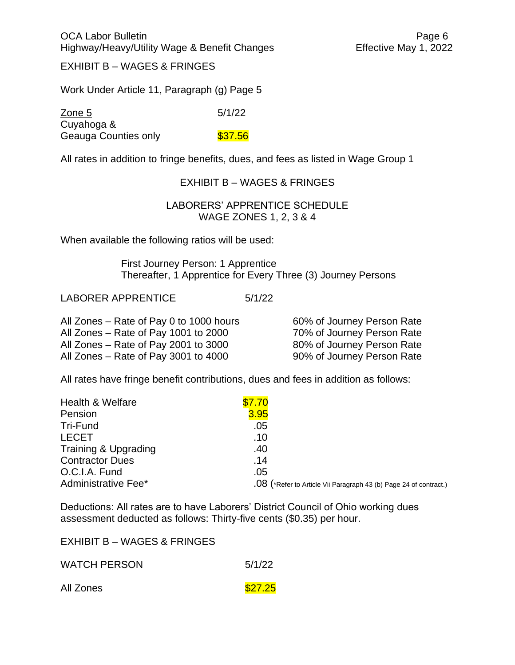EXHIBIT B – WAGES & FRINGES

Work Under Article 11, Paragraph (g) Page 5

Zone 5 5/1/22 Cuyahoga & Geauga Counties only **\$37.56** 

All rates in addition to fringe benefits, dues, and fees as listed in Wage Group 1

#### EXHIBIT B – WAGES & FRINGES

#### LABORERS' APPRENTICE SCHEDULE WAGE ZONES 1, 2, 3 & 4

When available the following ratios will be used:

First Journey Person: 1 Apprentice Thereafter, 1 Apprentice for Every Three (3) Journey Persons

LABORER APPRENTICE 5/1/22

All Zones – Rate of Pay 0 to 1000 hours 60% of Journey Person Rate All Zones – Rate of Pay 1001 to 2000 70% of Journey Person Rate All Zones – Rate of Pay 2001 to 3000 80% of Journey Person Rate All Zones – Rate of Pay 3001 to 4000 90% of Journey Person Rate

All rates have fringe benefit contributions, dues and fees in addition as follows:

| Health & Welfare       | \$7.70 |                                                                   |
|------------------------|--------|-------------------------------------------------------------------|
| Pension                | 3.95   |                                                                   |
| Tri-Fund               | .05    |                                                                   |
| <b>LECET</b>           | .10    |                                                                   |
| Training & Upgrading   | .40    |                                                                   |
| <b>Contractor Dues</b> | .14    |                                                                   |
| O.C.I.A. Fund          | .05    |                                                                   |
| Administrative Fee*    |        | .08 (*Refer to Article Vii Paragraph 43 (b) Page 24 of contract.) |

Deductions: All rates are to have Laborers' District Council of Ohio working dues assessment deducted as follows: Thirty-five cents (\$0.35) per hour.

EXHIBIT B – WAGES & FRINGES

| <b>WATCH PERSON</b> | 5/1/22 |
|---------------------|--------|
|                     |        |

All Zones **\$27.25**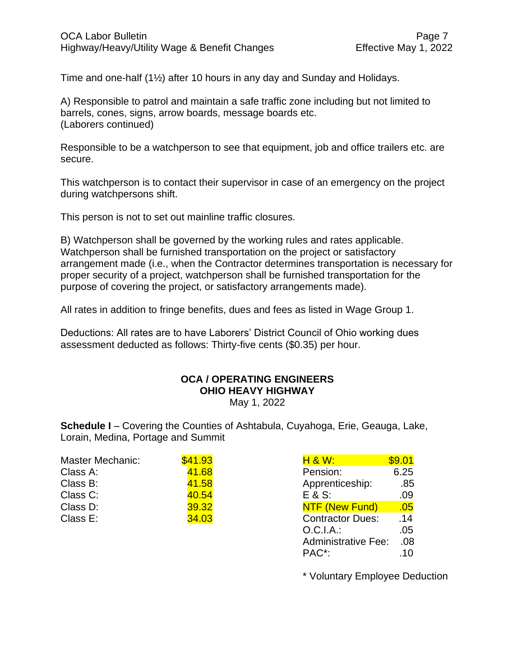Time and one-half (1½) after 10 hours in any day and Sunday and Holidays.

A) Responsible to patrol and maintain a safe traffic zone including but not limited to barrels, cones, signs, arrow boards, message boards etc. (Laborers continued)

Responsible to be a watchperson to see that equipment, job and office trailers etc. are secure.

This watchperson is to contact their supervisor in case of an emergency on the project during watchpersons shift.

This person is not to set out mainline traffic closures.

B) Watchperson shall be governed by the working rules and rates applicable. Watchperson shall be furnished transportation on the project or satisfactory arrangement made (i.e., when the Contractor determines transportation is necessary for proper security of a project, watchperson shall be furnished transportation for the purpose of covering the project, or satisfactory arrangements made).

All rates in addition to fringe benefits, dues and fees as listed in Wage Group 1.

Deductions: All rates are to have Laborers' District Council of Ohio working dues assessment deducted as follows: Thirty-five cents (\$0.35) per hour.

# **OCA / OPERATING ENGINEERS OHIO HEAVY HIGHWAY**

May 1, 2022

**Schedule I** – Covering the Counties of Ashtabula, Cuyahoga, Erie, Geauga, Lake, Lorain, Medina, Portage and Summit

| Master Mechanic: | \$41.93 | H 8 W:                  | \$9.01 |
|------------------|---------|-------------------------|--------|
| Class A:         | 41.68   | Pension:                | 6.25   |
| Class B:         | 41.58   | Apprenticeship:         | .85    |
| Class C:         | 40.54   | $E$ & S:                | .09    |
| Class D:         | 39.32   | NTF (New Fund)          | .05    |
| Class E:         | 34.03   | <b>Contractor Dues:</b> | .14    |

| <b>H &amp; W:</b>          | \$9.01 |
|----------------------------|--------|
| Pension:                   | 6.25   |
| Apprenticeship:            | .85    |
| E & S:                     | .09    |
| <b>NTF (New Fund)</b>      | .05    |
| <b>Contractor Dues:</b>    | .14    |
| $O.C.I.A.$ :               | .05    |
| <b>Administrative Fee:</b> | .08    |
| PAC <sup>*</sup> :         | .10    |

\* Voluntary Employee Deduction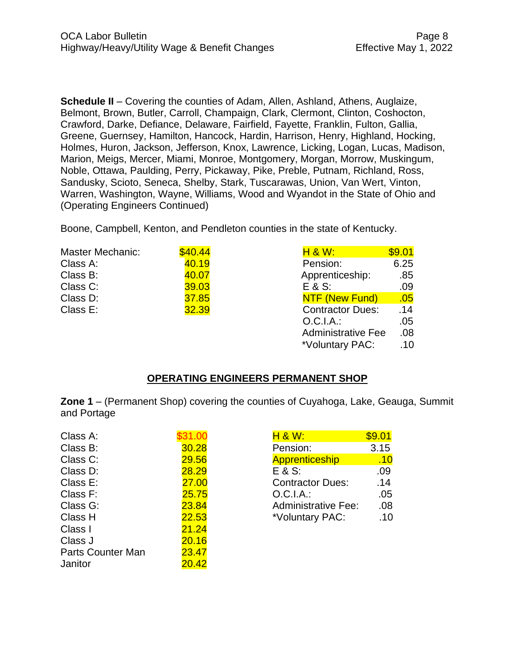**Schedule II** – Covering the counties of Adam, Allen, Ashland, Athens, Auglaize, Belmont, Brown, Butler, Carroll, Champaign, Clark, Clermont, Clinton, Coshocton, Crawford, Darke, Defiance, Delaware, Fairfield, Fayette, Franklin, Fulton, Gallia, Greene, Guernsey, Hamilton, Hancock, Hardin, Harrison, Henry, Highland, Hocking, Holmes, Huron, Jackson, Jefferson, Knox, Lawrence, Licking, Logan, Lucas, Madison, Marion, Meigs, Mercer, Miami, Monroe, Montgomery, Morgan, Morrow, Muskingum, Noble, Ottawa, Paulding, Perry, Pickaway, Pike, Preble, Putnam, Richland, Ross, Sandusky, Scioto, Seneca, Shelby, Stark, Tuscarawas, Union, Van Wert, Vinton, Warren, Washington, Wayne, Williams, Wood and Wyandot in the State of Ohio and (Operating Engineers Continued)

Boone, Campbell, Kenton, and Pendleton counties in the state of Kentucky.

| Master Mechanic: | \$40.44 | <b>H &amp; W:</b>         | \$9.01 |
|------------------|---------|---------------------------|--------|
| Class A:         | 40.19   | Pension:                  | 6.25   |
| Class B:         | 40.07   | Apprenticeship:           | .85    |
| Class C:         | 39.03   | $E & S$ :                 | .09    |
| Class D:         | 37.85   | NTF (New Fund)            | .05    |
| Class E:         | 32.39   | <b>Contractor Dues:</b>   | .14    |
|                  |         | $O.C.I.A.$ :              | .05    |
|                  |         | <b>Administrative Fee</b> | .08    |
|                  |         | *Voluntary PAC:           | .10    |

#### **OPERATING ENGINEERS PERMANENT SHOP**

**Zone 1** – (Permanent Shop) covering the counties of Cuyahoga, Lake, Geauga, Summit and Portage

| Class A:                 | 31.00 | <b>H &amp; W:</b>          | \$9.01 |
|--------------------------|-------|----------------------------|--------|
| Class B:                 | 30.28 | Pension:                   | 3.15   |
| Class C:                 | 29.56 | <b>Apprenticeship</b>      | .10    |
| Class D:                 | 28.29 | E & S:                     | .09    |
| Class E:                 | 27.00 | <b>Contractor Dues:</b>    | .14    |
| Class F:                 | 25.75 | O.C.I.A.:                  | .05    |
| Class G:                 | 23.84 | <b>Administrative Fee:</b> | .08    |
| Class H                  | 22.53 | *Voluntary PAC:            | .10    |
| Class I                  | 21.24 |                            |        |
| Class J                  | 20.16 |                            |        |
| <b>Parts Counter Man</b> | 23.47 |                            |        |
| Janitor                  | 20.42 |                            |        |

| H 8 W:                     | \$9.01 |
|----------------------------|--------|
| Pension:                   | 3.15   |
| Apprenticeship             | .10    |
| $E$ & S:                   | .09    |
| <b>Contractor Dues:</b>    | .14    |
| O.C.I.A.:                  | .05    |
| <b>Administrative Fee:</b> | .08    |
| *Voluntary PAC:            | .10    |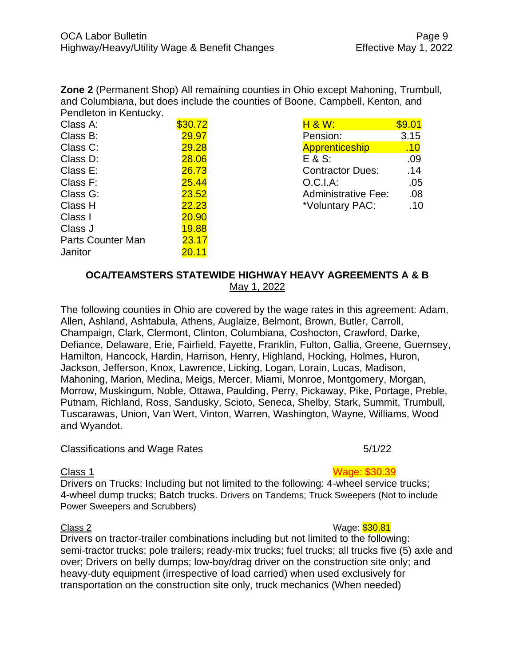**Zone 2** (Permanent Shop) All remaining counties in Ohio except Mahoning, Trumbull, and Columbiana, but does include the counties of Boone, Campbell, Kenton, and Pendleton in Kentucky.

| Class A:                 | \$30.72      | <b>H &amp; W:</b>          | \$9.01 |
|--------------------------|--------------|----------------------------|--------|
| Class B:                 | 29.97        | Pension:                   | 3.15   |
| Class C:                 | 29.28        | Apprenticeship             | .10    |
| Class D:                 | 28.06        | E & S:                     | .09    |
| Class E:                 | 26.73        | <b>Contractor Dues:</b>    | .14    |
| Class F:                 | <b>25.44</b> | O.C.I.A:                   | .05    |
| Class G:                 | 23.52        | <b>Administrative Fee:</b> | .08    |
| Class H                  | 22.23        | *Voluntary PAC:            | .10    |
| Class I                  | 20.90        |                            |        |
| Class J                  | <b>19.88</b> |                            |        |
| <b>Parts Counter Man</b> | 23.17        |                            |        |
| Janitor                  | 20.11        |                            |        |

| \$9.01 |
|--------|
| 3.15   |
| .10    |
| .09    |
| .14    |
| .05    |
| .08    |
| .10    |
|        |

### **OCA/TEAMSTERS STATEWIDE HIGHWAY HEAVY AGREEMENTS A & B** May 1, 2022

The following counties in Ohio are covered by the wage rates in this agreement: Adam, Allen, Ashland, Ashtabula, Athens, Auglaize, Belmont, Brown, Butler, Carroll, Champaign, Clark, Clermont, Clinton, Columbiana, Coshocton, Crawford, Darke, Defiance, Delaware, Erie, Fairfield, Fayette, Franklin, Fulton, Gallia, Greene, Guernsey, Hamilton, Hancock, Hardin, Harrison, Henry, Highland, Hocking, Holmes, Huron, Jackson, Jefferson, Knox, Lawrence, Licking, Logan, Lorain, Lucas, Madison, Mahoning, Marion, Medina, Meigs, Mercer, Miami, Monroe, Montgomery, Morgan, Morrow, Muskingum, Noble, Ottawa, Paulding, Perry, Pickaway, Pike, Portage, Preble, Putnam, Richland, Ross, Sandusky, Scioto, Seneca, Shelby, Stark, Summit, Trumbull, Tuscarawas, Union, Van Wert, Vinton, Warren, Washington, Wayne, Williams, Wood and Wyandot.

#### Classifications and Wage Rates 5/1/22

Drivers on Trucks: Including but not limited to the following: 4-wheel service trucks; 4-wheel dump trucks; Batch trucks. Drivers on Tandems; Truck Sweepers (Not to include Power Sweepers and Scrubbers)

Elass 2 Wage: \$30.81 Drivers on tractor-trailer combinations including but not limited to the following: semi-tractor trucks; pole trailers; ready-mix trucks; fuel trucks; all trucks five (5) axle and over; Drivers on belly dumps; low-boy/drag driver on the construction site only; and heavy-duty equipment (irrespective of load carried) when used exclusively for transportation on the construction site only, truck mechanics (When needed)

# Class 1 Wage: \$30.39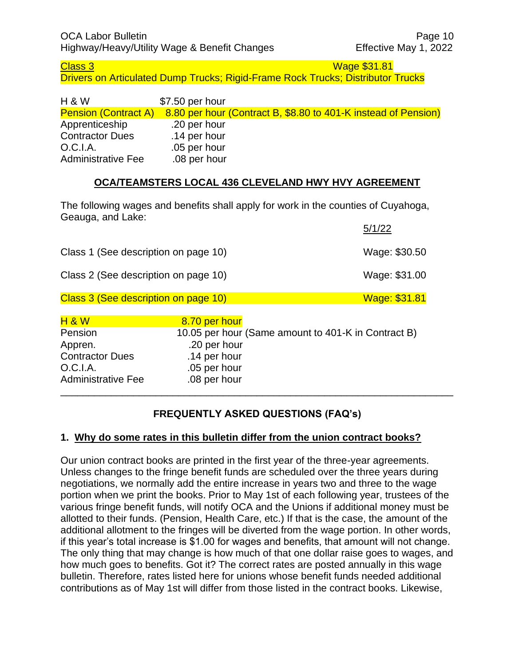Class 3 New York 2014 19:30 New York 2014 19:30 New York 2014 19:30 New York 2014 19:30 Drivers on Articulated Dump Trucks; Rigid-Frame Rock Trucks; Distributor Trucks

| <b>H &amp; W</b>            | \$7.50 per hour |                                                                |
|-----------------------------|-----------------|----------------------------------------------------------------|
| <b>Pension (Contract A)</b> |                 | 8.80 per hour (Contract B, \$8.80 to 401-K instead of Pension) |
| Apprenticeship              | .20 per hour    |                                                                |
| <b>Contractor Dues</b>      | .14 per hour    |                                                                |
| O.C.I.A.                    | .05 per hour    |                                                                |
| <b>Administrative Fee</b>   | .08 per hour    |                                                                |

### **OCA/TEAMSTERS LOCAL 436 CLEVELAND HWY HVY AGREEMENT**

The following wages and benefits shall apply for work in the counties of Cuyahoga, Geauga, and Lake:

|                                      |               | 5/1/22                                              |
|--------------------------------------|---------------|-----------------------------------------------------|
| Class 1 (See description on page 10) |               | Wage: \$30.50                                       |
| Class 2 (See description on page 10) |               | Wage: \$31.00                                       |
| Class 3 (See description on page 10) |               | Wage: \$31.81                                       |
| <b>H &amp; W</b>                     | 8.70 per hour |                                                     |
| Pension                              |               | 10.05 per hour (Same amount to 401-K in Contract B) |
| Appren.                              | .20 per hour  |                                                     |
| <b>Contractor Dues</b>               | .14 per hour  |                                                     |
| O.C.I.A.                             | .05 per hour  |                                                     |
| <b>Administrative Fee</b>            | .08 per hour  |                                                     |

# **FREQUENTLY ASKED QUESTIONS (FAQ's)**

\_\_\_\_\_\_\_\_\_\_\_\_\_\_\_\_\_\_\_\_\_\_\_\_\_\_\_\_\_\_\_\_\_\_\_\_\_\_\_\_\_\_\_\_\_\_\_\_\_\_\_\_\_\_\_\_\_\_\_\_\_\_\_\_\_\_\_\_\_\_

#### **1. Why do some rates in this bulletin differ from the union contract books?**

Our union contract books are printed in the first year of the three-year agreements. Unless changes to the fringe benefit funds are scheduled over the three years during negotiations, we normally add the entire increase in years two and three to the wage portion when we print the books. Prior to May 1st of each following year, trustees of the various fringe benefit funds, will notify OCA and the Unions if additional money must be allotted to their funds. (Pension, Health Care, etc.) If that is the case, the amount of the additional allotment to the fringes will be diverted from the wage portion. In other words, if this year's total increase is \$1.00 for wages and benefits, that amount will not change. The only thing that may change is how much of that one dollar raise goes to wages, and how much goes to benefits. Got it? The correct rates are posted annually in this wage bulletin. Therefore, rates listed here for unions whose benefit funds needed additional contributions as of May 1st will differ from those listed in the contract books. Likewise,